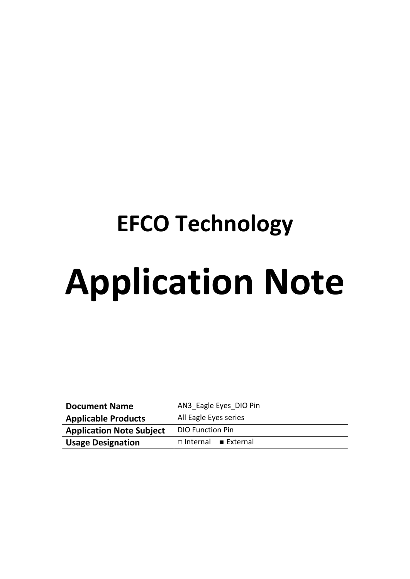# **EFCO Technology Application Note**

| <b>Document Name</b>            | AN3 Eagle Eyes DIO Pin   |  |  |
|---------------------------------|--------------------------|--|--|
| <b>Applicable Products</b>      | All Eagle Eyes series    |  |  |
| <b>Application Note Subject</b> | <b>DIO Function Pin</b>  |  |  |
| <b>Usage Designation</b>        | $\Box$ Internal External |  |  |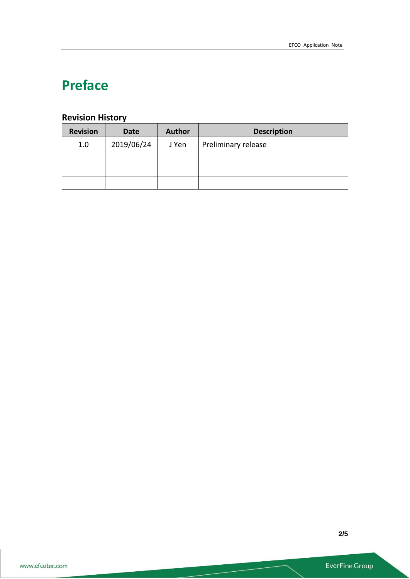## **Preface**

## **Revision History**

| <b>Revision</b> | <b>Date</b> | <b>Author</b> | <b>Description</b>  |  |
|-----------------|-------------|---------------|---------------------|--|
| 1.0             | 2019/06/24  | J Yen         | Preliminary release |  |
|                 |             |               |                     |  |
|                 |             |               |                     |  |
|                 |             |               |                     |  |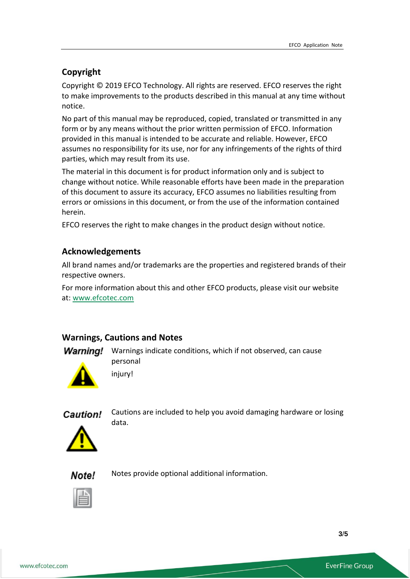## **Copyright**

Copyright © 2019 EFCO Technology. All rights are reserved. EFCO reserves the right to make improvements to the products described in this manual at any time without notice.

No part of this manual may be reproduced, copied, translated or transmitted in any form or by any means without the prior written permission of EFCO. Information provided in this manual is intended to be accurate and reliable. However, EFCO assumes no responsibility for its use, nor for any infringements of the rights of third parties, which may result from its use.

The material in this document is for product information only and is subject to change without notice. While reasonable efforts have been made in the preparation of this document to assure its accuracy, EFCO assumes no liabilities resulting from errors or omissions in this document, or from the use of the information contained herein.

EFCO reserves the right to make changes in the product design without notice.

### **Acknowledgements**

All brand names and/or trademarks are the properties and registered brands of their respective owners.

For more information about this and other EFCO products, please visit our website at: [www.efcotec.com](file:///C:/Users/PattyWu/Documents/Manual/DMCT/www.efcotec.com)

#### **Warnings, Cautions and Notes**

**Warning!** Warnings indicate conditions, which if not observed, can cause personal





Cautions are included to help you avoid damaging hardware or losing data.



Note!

Notes provide optional additional information.



**3**/**5**